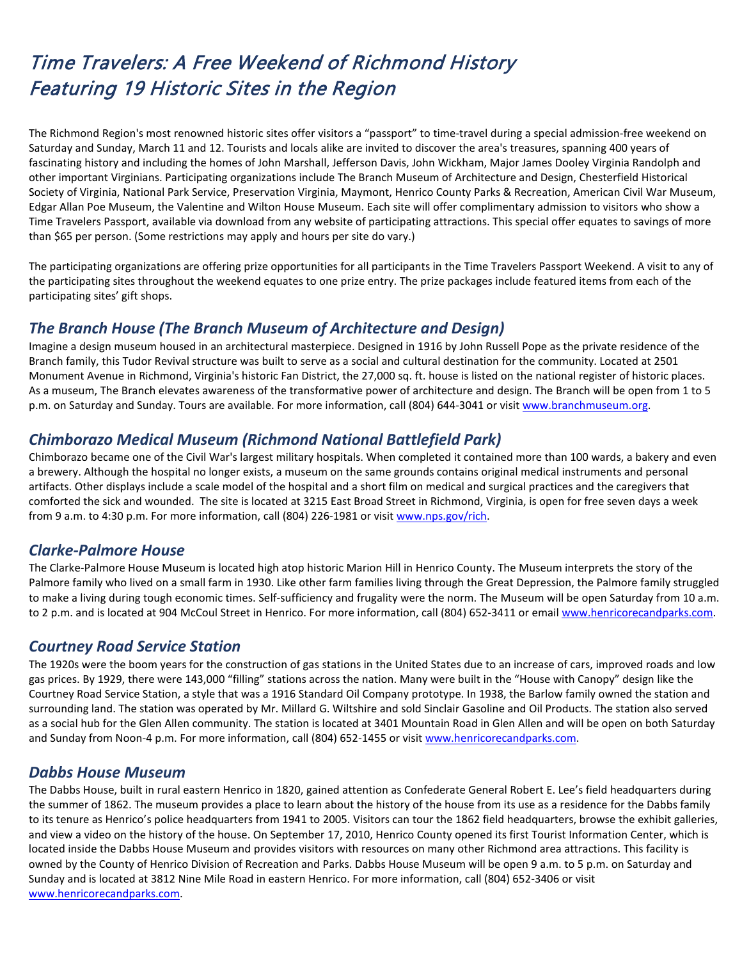# Time Travelers: A Free Weekend of Richmond History Featuring 19 Historic Sites in the Region

The Richmond Region's most renowned historic sites offer visitors a "passport" to time-travel during a special admission-free weekend on Saturday and Sunday, March 11 and 12. Tourists and locals alike are invited to discover the area's treasures, spanning 400 years of fascinating history and including the homes of John Marshall, Jefferson Davis, John Wickham, Major James Dooley Virginia Randolph and other important Virginians. Participating organizations include The Branch Museum of Architecture and Design, Chesterfield Historical Society of Virginia, National Park Service, Preservation Virginia, Maymont, Henrico County Parks & Recreation, American Civil War Museum, Edgar Allan Poe Museum, the Valentine and Wilton House Museum. Each site will offer complimentary admission to visitors who show a Time Travelers Passport, available via download from any website of participating attractions. This special offer equates to savings of more than \$65 per person. (Some restrictions may apply and hours per site do vary.)

The participating organizations are offering prize opportunities for all participants in the Time Travelers Passport Weekend. A visit to any of the participating sites throughout the weekend equates to one prize entry. The prize packages include featured items from each of the participating sites' gift shops.

## *The Branch House (The Branch Museum of Architecture and Design)*

Imagine a design museum housed in an architectural masterpiece. Designed in 1916 by John Russell Pope as the private residence of the Branch family, this Tudor Revival structure was built to serve as a social and cultural destination for the community. Located at 2501 Monument Avenue in Richmond, Virginia's historic Fan District, the 27,000 sq. ft. house is listed on the national register of historic places. As a museum, The Branch elevates awareness of the transformative power of architecture and design. The Branch will be open from 1 to 5 p.m. on Saturday and Sunday. Tours are available. For more information, call (804) 644-3041 or visit [www.branchmuseum.org.](http://www.branchmuseum.org/)

# *Chimborazo Medical Museum (Richmond National Battlefield Park)*

Chimborazo became one of the Civil War's largest military hospitals. When completed it contained more than 100 wards, a bakery and even a brewery. Although the hospital no longer exists, a museum on the same grounds contains original medical instruments and personal artifacts. Other displays include a scale model of the hospital and a short film on medical and surgical practices and the caregivers that comforted the sick and wounded. The site is located at 3215 East Broad Street in Richmond, Virginia, is open for free seven days a week from 9 a.m. to 4:30 p.m. For more information, call (804) 226-1981 or visit [www.nps.gov/rich.](https://t.e2ma.net/click/hg5zp/t1tix/p2biod)

## *Clarke-Palmore House*

The Clarke-Palmore House Museum is located high atop historic Marion Hill in Henrico County. The Museum interprets the story of the Palmore family who lived on a small farm in 1930. Like other farm families living through the Great Depression, the Palmore family struggled to make a living during tough economic times. Self-sufficiency and frugality were the norm. The Museum will be open Saturday from 10 a.m. to 2 p.m. and is located at 904 McCoul Street in Henrico. For more information, call (804) 652-3411 or email [www.henricorecandparks.com.](http://www.henricorecandparks.com/)

## *Courtney Road Service Station*

The 1920s were the boom years for the construction of gas stations in the United States due to an increase of cars, improved roads and low gas prices. By 1929, there were 143,000 "filling" stations across the nation. Many were built in the "House with Canopy" design like the Courtney Road Service Station, a style that was a 1916 Standard Oil Company prototype. In 1938, the Barlow family owned the station and surrounding land. The station was operated by Mr. Millard G. Wiltshire and sold Sinclair Gasoline and Oil Products. The station also served as a social hub for the Glen Allen community. The station is located at 3401 Mountain Road in Glen Allen and will be open on both Saturday and Sunday from Noon-4 p.m. For more information, call (804) 652-1455 or visit [www.henricorecandparks.com.](http://www.henricorecandparks.com/)

## *Dabbs House Museum*

The Dabbs House, built in rural eastern Henrico in 1820, gained attention as Confederate General Robert E. Lee's field headquarters during the summer of 1862. The museum provides a place to learn about the history of the house from its use as a residence for the Dabbs family to its tenure as Henrico's police headquarters from 1941 to 2005. Visitors can tour the 1862 field headquarters, browse the exhibit galleries, and view a video on the history of the house. On September 17, 2010, Henrico County opened its first Tourist Information Center, which is located inside the Dabbs House Museum and provides visitors with resources on many other Richmond area attractions. This facility is owned by the County of Henrico Division of Recreation and Parks. Dabbs House Museum will be open 9 a.m. to 5 p.m. on Saturday and Sunday and is located at 3812 Nine Mile Road in eastern Henrico. For more information, call (804) 652-3406 or visit [www.henricorecandparks.com.](http://www.henricorecandparks.com/)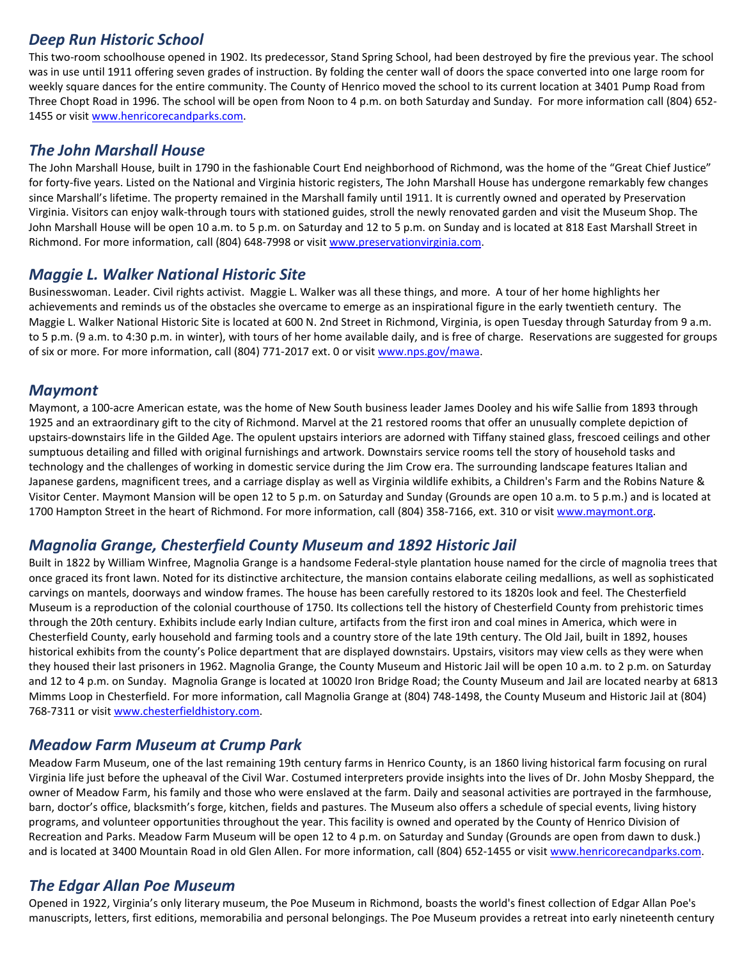## *Deep Run Historic School*

This two-room schoolhouse opened in 1902. Its predecessor, Stand Spring School, had been destroyed by fire the previous year. The school was in use until 1911 offering seven grades of instruction. By folding the center wall of doors the space converted into one large room for weekly square dances for the entire community. The County of Henrico moved the school to its current location at 3401 Pump Road from Three Chopt Road in 1996. The school will be open from Noon to 4 p.m. on both Saturday and Sunday. For more information call (804) 652 1455 or visit [www.henricorecandparks.com.](http://www.henricorecandparks.com/)

#### *The John Marshall House*

The John Marshall House, built in 1790 in the fashionable Court End neighborhood of Richmond, was the home of the "Great Chief Justice" for forty-five years. Listed on the National and Virginia historic registers, The John Marshall House has undergone remarkably few changes since Marshall's lifetime. The property remained in the Marshall family until 1911. It is currently owned and operated by Preservation Virginia. Visitors can enjoy walk-through tours with stationed guides, stroll the newly renovated garden and visit the Museum Shop. The John Marshall House will be open 10 a.m. to 5 p.m. on Saturday and 12 to 5 p.m. on Sunday and is located at 818 East Marshall Street in Richmond. For more information, call (804) 648-7998 or visit [www.preservationvirginia.com.](http://www.preservationvirginia.com/)

## *Maggie L. Walker National Historic Site*

Businesswoman. Leader. Civil rights activist. Maggie L. Walker was all these things, and more. A tour of her home highlights her achievements and reminds us of the obstacles she overcame to emerge as an inspirational figure in the early twentieth century. The Maggie L. Walker National Historic Site is located at 600 N. 2nd Street in Richmond, Virginia, is open Tuesday through Saturday from 9 a.m. to 5 p.m. (9 a.m. to 4:30 p.m. in winter), with tours of her home available daily, and is free of charge. Reservations are suggested for groups of six or more. For more information, call (804) 771-2017 ext. 0 or visit [www.nps.gov/mawa.](http://www.nps.gov/mawa)

#### *Maymont*

Maymont, a 100-acre American estate, was the home of New South business leader James Dooley and his wife Sallie from 1893 through 1925 and an extraordinary gift to the city of Richmond. Marvel at the 21 restored rooms that offer an unusually complete depiction of upstairs-downstairs life in the Gilded Age. The opulent upstairs interiors are adorned with Tiffany stained glass, frescoed ceilings and other sumptuous detailing and filled with original furnishings and artwork. Downstairs service rooms tell the story of household tasks and technology and the challenges of working in domestic service during the Jim Crow era. The surrounding landscape features Italian and Japanese gardens, magnificent trees, and a carriage display as well as Virginia wildlife exhibits, a Children's Farm and the Robins Nature & Visitor Center. Maymont Mansion will be open 12 to 5 p.m. on Saturday and Sunday (Grounds are open 10 a.m. to 5 p.m.) and is located at 1700 Hampton Street in the heart of Richmond. For more information, call (804) 358-7166, ext. 310 or visi[t www.maymont.org.](https://t.e2ma.net/click/hg5zp/t1tix/h8eiod)

## *Magnolia Grange, Chesterfield County Museum and 1892 Historic Jail*

Built in 1822 by William Winfree, Magnolia Grange is a handsome Federal-style plantation house named for the circle of magnolia trees that once graced its front lawn. Noted for its distinctive architecture, the mansion contains elaborate ceiling medallions, as well as sophisticated carvings on mantels, doorways and window frames. The house has been carefully restored to its 1820s look and feel. The Chesterfield Museum is a reproduction of the colonial courthouse of 1750. Its collections tell the history of Chesterfield County from prehistoric times through the 20th century. Exhibits include early Indian culture, artifacts from the first iron and coal mines in America, which were in Chesterfield County, early household and farming tools and a country store of the late 19th century. The Old Jail, built in 1892, houses historical exhibits from the county's Police department that are displayed downstairs. Upstairs, visitors may view cells as they were when they housed their last prisoners in 1962. Magnolia Grange, the County Museum and Historic Jail will be open 10 a.m. to 2 p.m. on Saturday and 12 to 4 p.m. on Sunday. Magnolia Grange is located at 10020 Iron Bridge Road; the County Museum and Jail are located nearby at 6813 Mimms Loop in Chesterfield. For more information, call Magnolia Grange at (804) 748-1498, the County Museum and Historic Jail at (804) 768-7311 or visit [www.chesterfieldhistory.com.](https://t.e2ma.net/click/hg5zp/t1tix/1feiod) 

## *Meadow Farm Museum at Crump Park*

Meadow Farm Museum, one of the last remaining 19th century farms in Henrico County, is an 1860 living historical farm focusing on rural Virginia life just before the upheaval of the Civil War. Costumed interpreters provide insights into the lives of Dr. John Mosby Sheppard, the owner of Meadow Farm, his family and those who were enslaved at the farm. Daily and seasonal activities are portrayed in the farmhouse, barn, doctor's office, blacksmith's forge, kitchen, fields and pastures. The Museum also offers a schedule of special events, living history programs, and volunteer opportunities throughout the year. This facility is owned and operated by the County of Henrico Division of Recreation and Parks. Meadow Farm Museum will be open 12 to 4 p.m. on Saturday and Sunday (Grounds are open from dawn to dusk.) and is located at 3400 Mountain Road in old Glen Allen. For more information, call (804) 652-1455 or visit [www.henricorecandparks.com.](http://www.henricorecandparks.com/)

## *The Edgar Allan Poe Museum*

Opened in 1922, Virginia's only literary museum, the Poe Museum in Richmond, boasts the world's finest collection of Edgar Allan Poe's manuscripts, letters, first editions, memorabilia and personal belongings. The Poe Museum provides a retreat into early nineteenth century